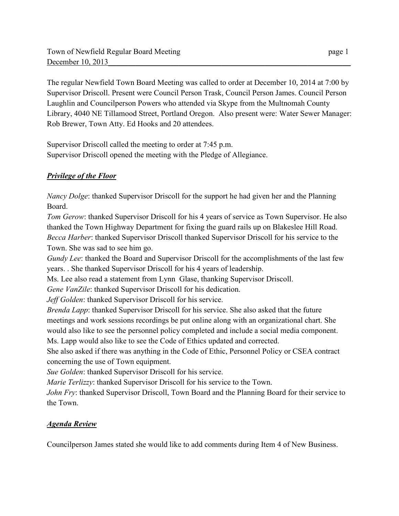The regular Newfield Town Board Meeting was called to order at December 10, 2014 at 7:00 by Supervisor Driscoll. Present were Council Person Trask, Council Person James. Council Person Laughlin and Councilperson Powers who attended via Skype from the Multnomah County Library, 4040 NE Tillamood Street, Portland Oregon. Also present were: Water Sewer Manager: Rob Brewer, Town Atty. Ed Hooks and 20 attendees.

Supervisor Driscoll called the meeting to order at 7:45 p.m. Supervisor Driscoll opened the meeting with the Pledge of Allegiance.

## *Privilege of the Floor*

*Nancy Dolge*: thanked Supervisor Driscoll for the support he had given her and the Planning Board.

*Tom Gerow*: thanked Supervisor Driscoll for his 4 years of service as Town Supervisor. He also thanked the Town Highway Department for fixing the guard rails up on Blakeslee Hill Road. *Becca Harber*: thanked Supervisor Driscoll thanked Supervisor Driscoll for his service to the Town. She was sad to see him go.

*Gundy Lee*: thanked the Board and Supervisor Driscoll for the accomplishments of the last few years. . She thanked Supervisor Driscoll for his 4 years of leadership.

Ms. Lee also read a statement from Lynn Glase, thanking Supervisor Driscoll.

*Gene VanZile*: thanked Supervisor Driscoll for his dedication.

*Jeff Golden*: thanked Supervisor Driscoll for his service.

*Brenda Lapp*: thanked Supervisor Driscoll for his service. She also asked that the future meetings and work sessions recordings be put online along with an organizational chart. She would also like to see the personnel policy completed and include a social media component. Ms. Lapp would also like to see the Code of Ethics updated and corrected.

She also asked if there was anything in the Code of Ethic, Personnel Policy or CSEA contract concerning the use of Town equipment.

*Sue Golden*: thanked Supervisor Driscoll for his service.

*Marie Terlizzy*: thanked Supervisor Driscoll for his service to the Town.

*John Fry*: thanked Supervisor Driscoll, Town Board and the Planning Board for their service to the Town.

# *Agenda Review*

Councilperson James stated she would like to add comments during Item 4 of New Business.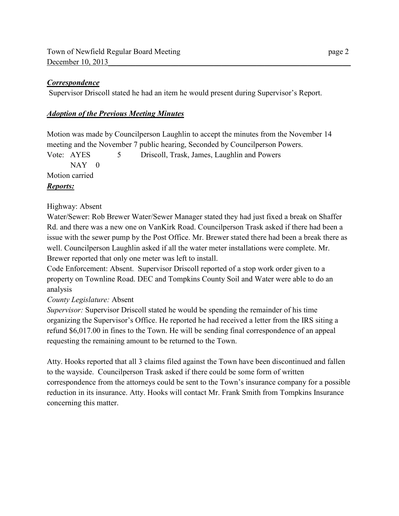### *Correspondence*

Supervisor Driscoll stated he had an item he would present during Supervisor's Report.

### *Adoption of the Previous Meeting Minutes*

Motion was made by Councilperson Laughlin to accept the minutes from the November 14 meeting and the November 7 public hearing, Seconded by Councilperson Powers.

Vote: AYES 5 Driscoll, Trask, James, Laughlin and Powers  $NAY$  0 Motion carried *Reports:* 

### Highway: Absent

Water/Sewer: Rob Brewer Water/Sewer Manager stated they had just fixed a break on Shaffer Rd. and there was a new one on VanKirk Road. Councilperson Trask asked if there had been a issue with the sewer pump by the Post Office. Mr. Brewer stated there had been a break there as well. Councilperson Laughlin asked if all the water meter installations were complete. Mr. Brewer reported that only one meter was left to install.

Code Enforcement: Absent. Supervisor Driscoll reported of a stop work order given to a property on Townline Road. DEC and Tompkins County Soil and Water were able to do an analysis

## *County Legislature:* Absent

*Supervisor:* Supervisor Driscoll stated he would be spending the remainder of his time organizing the Supervisor's Office. He reported he had received a letter from the IRS siting a refund \$6,017.00 in fines to the Town. He will be sending final correspondence of an appeal requesting the remaining amount to be returned to the Town.

Atty. Hooks reported that all 3 claims filed against the Town have been discontinued and fallen to the wayside. Councilperson Trask asked if there could be some form of written correspondence from the attorneys could be sent to the Town's insurance company for a possible reduction in its insurance. Atty. Hooks will contact Mr. Frank Smith from Tompkins Insurance concerning this matter.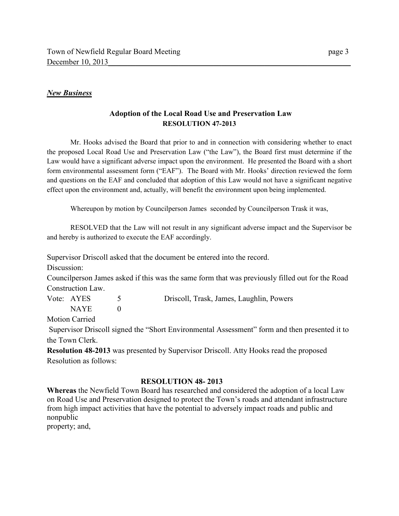#### *New Business*

### **Adoption of the Local Road Use and Preservation Law RESOLUTION 47-2013**

 Mr. Hooks advised the Board that prior to and in connection with considering whether to enact the proposed Local Road Use and Preservation Law ("the Law"), the Board first must determine if the Law would have a significant adverse impact upon the environment. He presented the Board with a short form environmental assessment form ("EAF"). The Board with Mr. Hooks' direction reviewed the form and questions on the EAF and concluded that adoption of this Law would not have a significant negative effect upon the environment and, actually, will benefit the environment upon being implemented.

Whereupon by motion by Councilperson James seconded by Councilperson Trask it was,

 RESOLVED that the Law will not result in any significant adverse impact and the Supervisor be and hereby is authorized to execute the EAF accordingly.

Supervisor Driscoll asked that the document be entered into the record.

Discussion:

Councilperson James asked if this was the same form that was previously filled out for the Road Construction Law.

Vote: AYES 5 Driscoll, Trask, James, Laughlin, Powers

 $NAYE$  0 Motion Carried

 Supervisor Driscoll signed the "Short Environmental Assessment" form and then presented it to the Town Clerk.

**Resolution 48-2013** was presented by Supervisor Driscoll. Atty Hooks read the proposed Resolution as follows:

### **RESOLUTION 48- 2013**

**Whereas** the Newfield Town Board has researched and considered the adoption of a local Law on Road Use and Preservation designed to protect the Town's roads and attendant infrastructure from high impact activities that have the potential to adversely impact roads and public and nonpublic

property; and,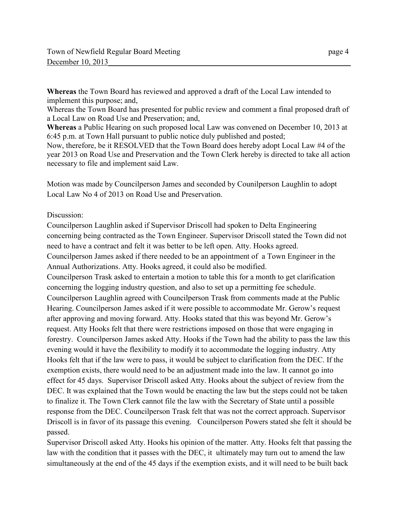**Whereas** the Town Board has reviewed and approved a draft of the Local Law intended to implement this purpose; and,

Whereas the Town Board has presented for public review and comment a final proposed draft of a Local Law on Road Use and Preservation; and,

**Whereas** a Public Hearing on such proposed local Law was convened on December 10, 2013 at 6:45 p.m. at Town Hall pursuant to public notice duly published and posted;

Now, therefore, be it RESOLVED that the Town Board does hereby adopt Local Law #4 of the year 2013 on Road Use and Preservation and the Town Clerk hereby is directed to take all action necessary to file and implement said Law.

Motion was made by Councilperson James and seconded by Counilperson Laughlin to adopt Local Law No 4 of 2013 on Road Use and Preservation.

### Discussion:

Councilperson Laughlin asked if Supervisor Driscoll had spoken to Delta Engineering concerning being contracted as the Town Engineer. Supervisor Driscoll stated the Town did not need to have a contract and felt it was better to be left open. Atty. Hooks agreed. Councilperson James asked if there needed to be an appointment of a Town Engineer in the Annual Authorizations. Atty. Hooks agreed, it could also be modified. Councilperson Trask asked to entertain a motion to table this for a month to get clarification concerning the logging industry question, and also to set up a permitting fee schedule. Councilperson Laughlin agreed with Councilperson Trask from comments made at the Public Hearing. Councilperson James asked if it were possible to accommodate Mr. Gerow's request after approving and moving forward. Atty. Hooks stated that this was beyond Mr. Gerow's request. Atty Hooks felt that there were restrictions imposed on those that were engaging in forestry. Councilperson James asked Atty. Hooks if the Town had the ability to pass the law this evening would it have the flexibility to modify it to accommodate the logging industry. Atty Hooks felt that if the law were to pass, it would be subject to clarification from the DEC. If the exemption exists, there would need to be an adjustment made into the law. It cannot go into effect for 45 days. Supervisor Driscoll asked Atty. Hooks about the subject of review from the DEC. It was explained that the Town would be enacting the law but the steps could not be taken to finalize it. The Town Clerk cannot file the law with the Secretary of State until a possible response from the DEC. Councilperson Trask felt that was not the correct approach. Supervisor Driscoll is in favor of its passage this evening. Councilperson Powers stated she felt it should be passed.

Supervisor Driscoll asked Atty. Hooks his opinion of the matter. Atty. Hooks felt that passing the law with the condition that it passes with the DEC, it ultimately may turn out to amend the law simultaneously at the end of the 45 days if the exemption exists, and it will need to be built back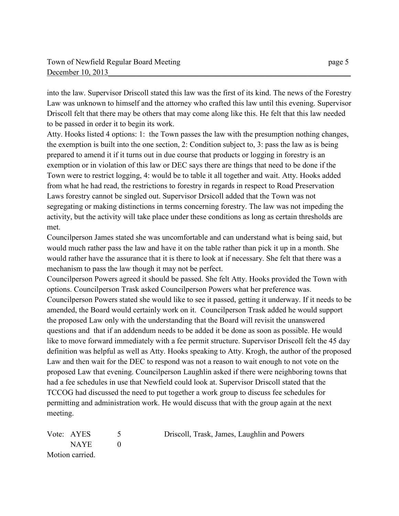into the law. Supervisor Driscoll stated this law was the first of its kind. The news of the Forestry Law was unknown to himself and the attorney who crafted this law until this evening. Supervisor Driscoll felt that there may be others that may come along like this. He felt that this law needed to be passed in order it to begin its work.

Atty. Hooks listed 4 options: 1: the Town passes the law with the presumption nothing changes, the exemption is built into the one section, 2: Condition subject to, 3: pass the law as is being prepared to amend it if it turns out in due course that products or logging in forestry is an exemption or in violation of this law or DEC says there are things that need to be done if the Town were to restrict logging, 4: would be to table it all together and wait. Atty. Hooks added from what he had read, the restrictions to forestry in regards in respect to Road Preservation Laws forestry cannot be singled out. Supervisor Drsicoll added that the Town was not segregating or making distinctions in terms concerning forestry. The law was not impeding the activity, but the activity will take place under these conditions as long as certain thresholds are met.

Councilperson James stated she was uncomfortable and can understand what is being said, but would much rather pass the law and have it on the table rather than pick it up in a month. She would rather have the assurance that it is there to look at if necessary. She felt that there was a mechanism to pass the law though it may not be perfect.

Councilperson Powers agreed it should be passed. She felt Atty. Hooks provided the Town with options. Councilperson Trask asked Councilperson Powers what her preference was. Councilperson Powers stated she would like to see it passed, getting it underway. If it needs to be amended, the Board would certainly work on it. Councilperson Trask added he would support the proposed Law only with the understanding that the Board will revisit the unanswered questions and that if an addendum needs to be added it be done as soon as possible. He would like to move forward immediately with a fee permit structure. Supervisor Driscoll felt the 45 day definition was helpful as well as Atty. Hooks speaking to Atty. Krogh, the author of the proposed Law and then wait for the DEC to respond was not a reason to wait enough to not vote on the proposed Law that evening. Councilperson Laughlin asked if there were neighboring towns that had a fee schedules in use that Newfield could look at. Supervisor Driscoll stated that the TCCOG had discussed the need to put together a work group to discuss fee schedules for permitting and administration work. He would discuss that with the group again at the next meeting.

| Vote: AYES |                 | Driscoll, Trask, James, Laughlin and Powers |
|------------|-----------------|---------------------------------------------|
|            | <b>NAYE</b>     |                                             |
|            | Motion carried. |                                             |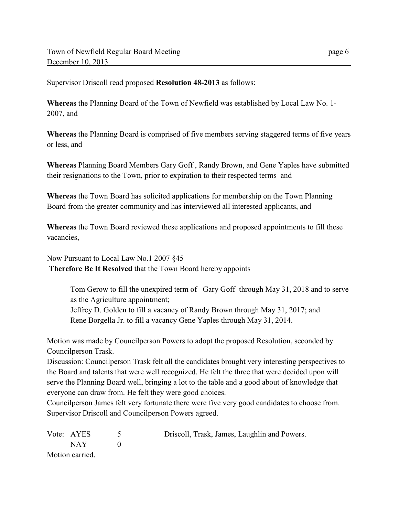Supervisor Driscoll read proposed **Resolution 48-2013** as follows:

**Whereas** the Planning Board of the Town of Newfield was established by Local Law No. 1- 2007, and

**Whereas** the Planning Board is comprised of five members serving staggered terms of five years or less, and

**Whereas** Planning Board Members Gary Goff , Randy Brown, and Gene Yaples have submitted their resignations to the Town, prior to expiration to their respected terms and

**Whereas** the Town Board has solicited applications for membership on the Town Planning Board from the greater community and has interviewed all interested applicants, and

**Whereas** the Town Board reviewed these applications and proposed appointments to fill these vacancies,

Now Pursuant to Local Law No.1 2007 §45 **Therefore Be It Resolved** that the Town Board hereby appoints

> Tom Gerow to fill the unexpired term of Gary Goff through May 31, 2018 and to serve as the Agriculture appointment;

Jeffrey D. Golden to fill a vacancy of Randy Brown through May 31, 2017; and Rene Borgella Jr. to fill a vacancy Gene Yaples through May 31, 2014.

Motion was made by Councilperson Powers to adopt the proposed Resolution, seconded by Councilperson Trask.

Discussion: Councilperson Trask felt all the candidates brought very interesting perspectives to the Board and talents that were well recognized. He felt the three that were decided upon will serve the Planning Board well, bringing a lot to the table and a good about of knowledge that everyone can draw from. He felt they were good choices.

Councilperson James felt very fortunate there were five very good candidates to choose from. Supervisor Driscoll and Councilperson Powers agreed.

| Vote: AYES      | Driscoll, Trask, James, Laughlin and Powers. |
|-----------------|----------------------------------------------|
| NAY 1           |                                              |
| Motion carried. |                                              |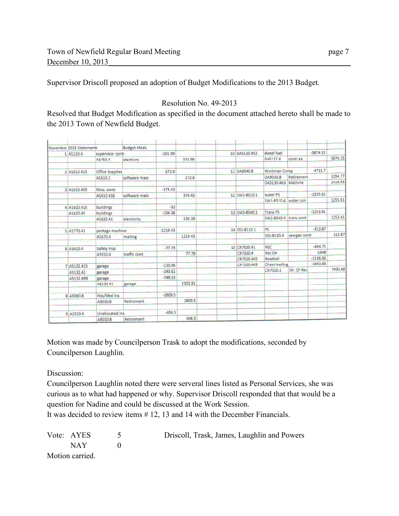Supervisor Driscoll proposed an adoption of Budget Modifications to the 2013 Budget.

## Resolution No. 49-2013

Resolved that Budget Modification as specified in the document attached hereto shall be made to the 2013 Town of Newfield Budget.

|  | November 2013 Statements |                             | <b>Budget Mods</b> |            |         |               |                 |              |            |         |
|--|--------------------------|-----------------------------|--------------------|------------|---------|---------------|-----------------|--------------|------------|---------|
|  | 1 A1220.4                | supervisor contr.           |                    | $-101.99$  |         | 10 DA5110.452 | diesel fuel     |              | $-5874.15$ |         |
|  |                          | A1450.4                     | elections          |            | 101.99  |               | Da5112.4        | contr ex     |            | 5874.15 |
|  |                          |                             |                    |            |         |               |                 |              | $-4711.7$  |         |
|  | 2 A1610.413              | <b>Office Supplies</b>      |                    | $-272.6$   |         | 11 DA9040.8   | Workman Comp    |              |            | 2294.77 |
|  |                          | A1610.2                     | software main      |            | 272.6   |               | DA9010.8        | Retirement   |            |         |
|  |                          |                             |                    |            |         |               | DA5130.463      | Machine      |            | 2416.93 |
|  | 3 A1610.499              | Misc. contr                 |                    | $-374.43$  |         |               |                 |              |            |         |
|  |                          | A1610.416                   | software main      |            | 374.43  | 12 SW1-8310.1 | water PS        |              | $-1255.61$ |         |
|  |                          |                             |                    |            |         |               | SW1-8310.4      | water con    |            | 1255.61 |
|  | 4 A1620.415              | buildings                   |                    | $-32$      |         |               |                 |              |            |         |
|  | A1620.45                 | buildings                   |                    | $-104.38$  |         | 13 SW2-8340.1 | <b>Trans PS</b> |              | $-1253.41$ |         |
|  |                          | A1620.41                    | electricity        |            | 136.38  |               | SW2-8340.4      | trans cont   |            | 1253.41 |
|  | 5 A1770.41               | postage machine             |                    | $-1219.43$ |         | 14 551-8110.1 | PS.             |              | $-313.87$  |         |
|  |                          | A1670.4                     | mailing            |            | 1219.43 |               | \$51-8130.4     | sewgae contr |            | 313.87  |
|  |                          |                             |                    |            |         |               |                 |              |            |         |
|  | 6 A3620.4                | Safety insp                 |                    | $-77.79$   |         | 15 CR7020.41  | REC             |              | $-444.71$  |         |
|  |                          | A3310.4                     | traffic cont       |            | 77.79   | CR7320.4      | Rec Dir         |              | $-1648$    |         |
|  |                          |                             |                    |            |         | CR7320.402    | Baseball        |              | $-1136.96$ |         |
|  | 7 A5132.415              | garage                      |                    | $-110.96$  |         | CR7320.405    | Cheerleading    |              | $-1843.88$ |         |
|  | A5132.42                 | garage                      |                    | $-243.62$  |         |               | CR7020.1        | Dir. Of Rec  |            | 7490.48 |
|  | A5132.499                | garage                      |                    | $-749.33$  |         |               |                 |              |            |         |
|  |                          | A5132.41                    | garage             |            | 1103.91 |               |                 |              |            |         |
|  | 8 A9060.8                | Hos/Med ins                 |                    | $-2809.5$  |         |               |                 |              |            |         |
|  |                          | A9010.8                     | Retirement         |            | 2809.5  |               |                 |              |            |         |
|  |                          |                             |                    | $-406.5$   |         |               |                 |              |            |         |
|  | 9 A1910.4                | Unallocated Ins.<br>A9010.8 | Retirement         |            | 406.5   |               |                 |              |            |         |

Motion was made by Councilperson Trask to adopt the modifications, seconded by Councilperson Laughlin.

Discussion:

Councilperson Laughlin noted there were serveral lines listed as Personal Services, she was curious as to what had happened or why. Supervisor Driscoll responded that that would be a question for Nadine and could be discussed at the Work Session.

It was decided to review items # 12, 13 and 14 with the December Financials.

| Vote: AYES      | Driscoll, Trask, James, Laughlin and Powers |
|-----------------|---------------------------------------------|
| NAY 11          |                                             |
| Motion carried. |                                             |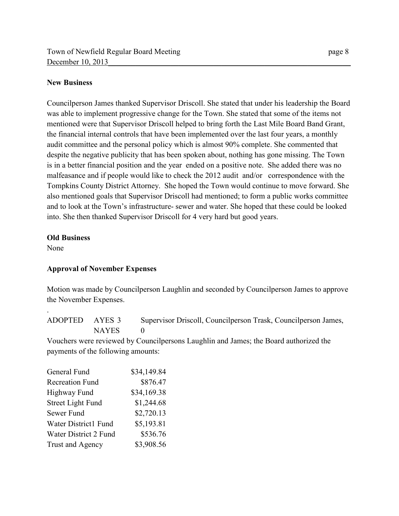#### **New Business**

Councilperson James thanked Supervisor Driscoll. She stated that under his leadership the Board was able to implement progressive change for the Town. She stated that some of the items not mentioned were that Supervisor Driscoll helped to bring forth the Last Mile Board Band Grant, the financial internal controls that have been implemented over the last four years, a monthly audit committee and the personal policy which is almost 90% complete. She commented that despite the negative publicity that has been spoken about, nothing has gone missing. The Town is in a better financial position and the year ended on a positive note. She added there was no malfeasance and if people would like to check the 2012 audit and/or correspondence with the Tompkins County District Attorney. She hoped the Town would continue to move forward. She also mentioned goals that Supervisor Driscoll had mentioned; to form a public works committee and to look at the Town's infrastructure- sewer and water. She hoped that these could be looked into. She then thanked Supervisor Driscoll for 4 very hard but good years.

#### **Old Business**

None

.

### **Approval of November Expenses**

Motion was made by Councilperson Laughlin and seconded by Councilperson James to approve the November Expenses.

ADOPTED AYES 3 Supervisor Driscoll, Councilperson Trask, Councilperson James, NAYES 0

Vouchers were reviewed by Councilpersons Laughlin and James; the Board authorized the payments of the following amounts:

| General Fund                | \$34,149.84 |
|-----------------------------|-------------|
| <b>Recreation Fund</b>      | \$876.47    |
| <b>Highway Fund</b>         | \$34,169.38 |
| <b>Street Light Fund</b>    | \$1,244.68  |
| Sewer Fund                  | \$2,720.13  |
| <b>Water District1 Fund</b> | \$5,193.81  |
| Water District 2 Fund       | \$536.76    |
| Trust and Agency            | \$3,908.56  |